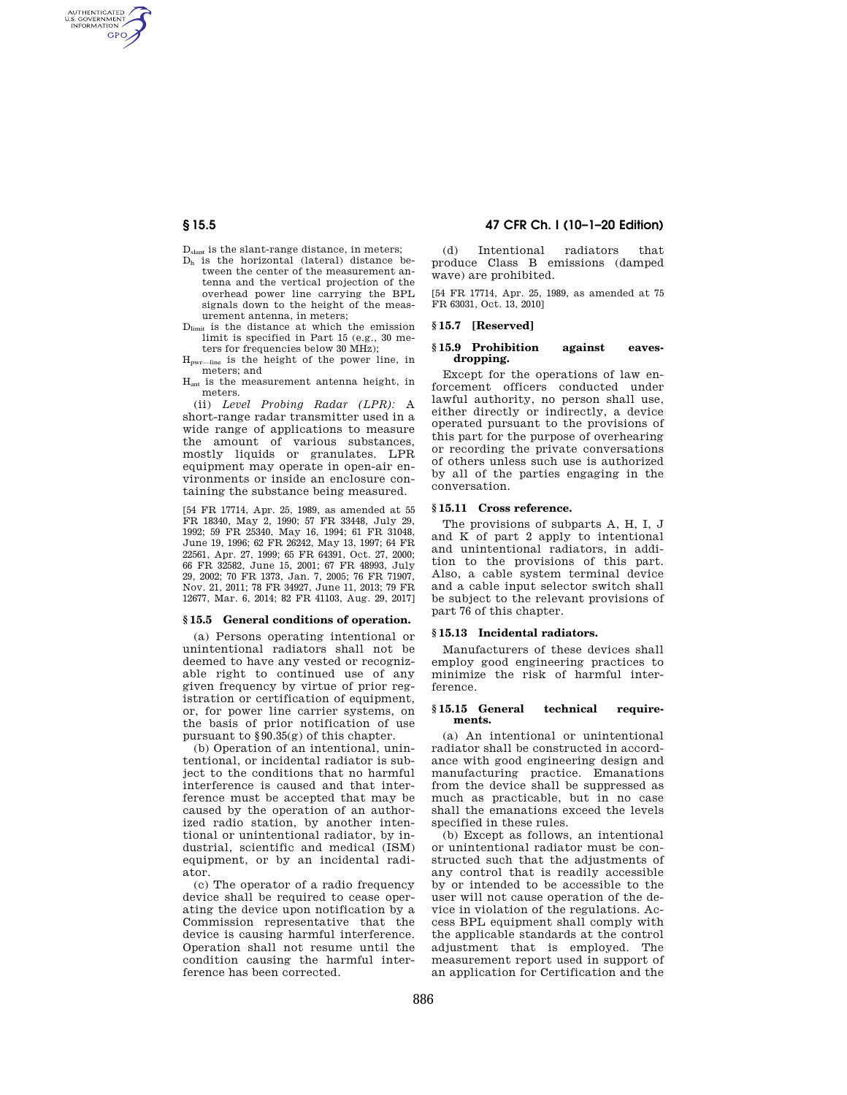# **§ 15.5 47 CFR Ch. I (10–1–20 Edition)**

D<sub>slant</sub> is the slant-range distance, in meters: D<sup>h</sup> is the horizontal (lateral) distance be-

AUTHENTICATED<br>U.S. GOVERNMENT<br>INFORMATION **GPO** 

- tween the center of the measurement antenna and the vertical projection of the overhead power line carrying the BPL signals down to the height of the measurement antenna, in meters;
- Dlimit is the distance at which the emission limit is specified in Part 15 (e.g., 30 meters for frequencies below 30 MHz);

Hpwr—line is the height of the power line, in meters; and

Hant is the measurement antenna height, in meters.

(ii) *Level Probing Radar (LPR):* A short-range radar transmitter used in a wide range of applications to measure the amount of various substances, mostly liquids or granulates. LPR equipment may operate in open-air environments or inside an enclosure containing the substance being measured.

[54 FR 17714, Apr. 25, 1989, as amended at 55 FR 18340, May 2, 1990; 57 FR 33448, July 29, 1992; 59 FR 25340, May 16, 1994; 61 FR 31048, June 19, 1996; 62 FR 26242, May 13, 1997; 64 FR 22561, Apr. 27, 1999; 65 FR 64391, Oct. 27, 2000; 66 FR 32582, June 15, 2001; 67 FR 48993, July 29, 2002; 70 FR 1373, Jan. 7, 2005; 76 FR 71907, Nov. 21, 2011; 78 FR 34927, June 11, 2013; 79 FR 12677, Mar. 6, 2014; 82 FR 41103, Aug. 29, 2017]

## **§ 15.5 General conditions of operation.**

(a) Persons operating intentional or unintentional radiators shall not be deemed to have any vested or recognizable right to continued use of any given frequency by virtue of prior registration or certification of equipment, or, for power line carrier systems, on the basis of prior notification of use pursuant to §90.35(g) of this chapter.

(b) Operation of an intentional, unintentional, or incidental radiator is subject to the conditions that no harmful interference is caused and that interference must be accepted that may be caused by the operation of an authorized radio station, by another intentional or unintentional radiator, by industrial, scientific and medical (ISM) equipment, or by an incidental radiator.

(c) The operator of a radio frequency device shall be required to cease operating the device upon notification by a Commission representative that the device is causing harmful interference. Operation shall not resume until the condition causing the harmful interference has been corrected.

(d) Intentional radiators that produce Class B emissions (damped wave) are prohibited.

[54 FR 17714, Apr. 25, 1989, as amended at 75 FR 63031, Oct. 13, 2010]

## **§ 15.7 [Reserved]**

# **§ 15.9 Prohibition against eavesdropping.**

Except for the operations of law enforcement officers conducted under lawful authority, no person shall use, either directly or indirectly, a device operated pursuant to the provisions of this part for the purpose of overhearing or recording the private conversations of others unless such use is authorized by all of the parties engaging in the conversation.

# **§ 15.11 Cross reference.**

The provisions of subparts A, H, I, J and K of part 2 apply to intentional and unintentional radiators, in addition to the provisions of this part. Also, a cable system terminal device and a cable input selector switch shall be subject to the relevant provisions of part 76 of this chapter.

## **§ 15.13 Incidental radiators.**

Manufacturers of these devices shall employ good engineering practices to minimize the risk of harmful interference.

### **§ 15.15 General technical requirements.**

(a) An intentional or unintentional radiator shall be constructed in accordance with good engineering design and manufacturing practice. Emanations from the device shall be suppressed as much as practicable, but in no case shall the emanations exceed the levels specified in these rules.

(b) Except as follows, an intentional or unintentional radiator must be constructed such that the adjustments of any control that is readily accessible by or intended to be accessible to the user will not cause operation of the device in violation of the regulations. Access BPL equipment shall comply with the applicable standards at the control adjustment that is employed. The measurement report used in support of an application for Certification and the